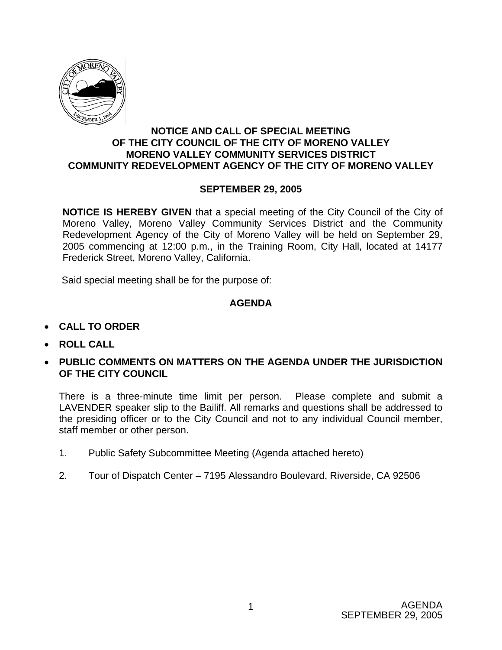

### **NOTICE AND CALL OF SPECIAL MEETING OF THE CITY COUNCIL OF THE CITY OF MORENO VALLEY MORENO VALLEY COMMUNITY SERVICES DISTRICT COMMUNITY REDEVELOPMENT AGENCY OF THE CITY OF MORENO VALLEY**

## **SEPTEMBER 29, 2005**

**NOTICE IS HEREBY GIVEN** that a special meeting of the City Council of the City of Moreno Valley, Moreno Valley Community Services District and the Community Redevelopment Agency of the City of Moreno Valley will be held on September 29, 2005 commencing at 12:00 p.m., in the Training Room, City Hall, located at 14177 Frederick Street, Moreno Valley, California.

Said special meeting shall be for the purpose of:

### **AGENDA**

- **CALL TO ORDER**
- **ROLL CALL**
- **PUBLIC COMMENTS ON MATTERS ON THE AGENDA UNDER THE JURISDICTION OF THE CITY COUNCIL**

There is a three-minute time limit per person. Please complete and submit a LAVENDER speaker slip to the Bailiff. All remarks and questions shall be addressed to the presiding officer or to the City Council and not to any individual Council member, staff member or other person.

- 1. Public Safety Subcommittee Meeting (Agenda attached hereto)
- 2. Tour of Dispatch Center 7195 Alessandro Boulevard, Riverside, CA 92506